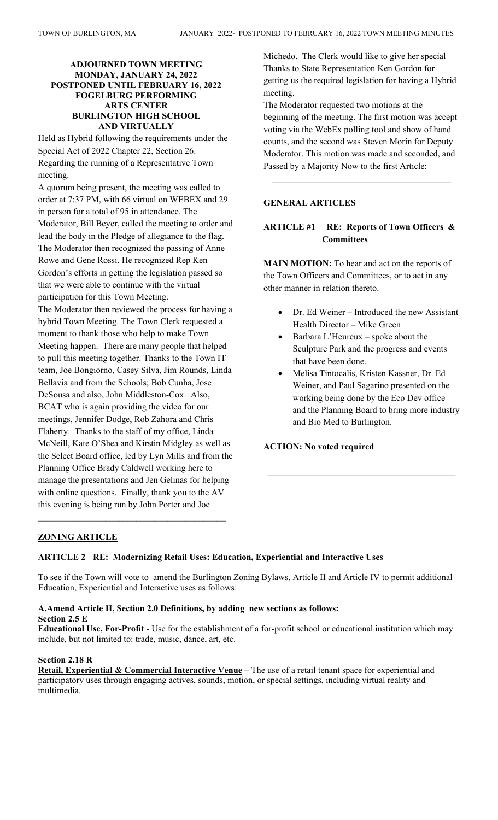#### **ADJOURNED TOWN MEETING MONDAY, JANUARY 24, 2022 POSTPONED UNTIL FEBRUARY 16, 2022 FOGELBURG PERFORMING ARTS CENTER BURLINGTON HIGH SCHOOL AND VIRTUALLY**

Held as Hybrid following the requirements under the Special Act of 2022 Chapter 22, Section 26. Regarding the running of a Representative Town meeting.

A quorum being present, the meeting was called to order at 7:37 PM, with 66 virtual on WEBEX and 29 in person for a total of 95 in attendance. The Moderator, Bill Beyer, called the meeting to order and lead the body in the Pledge of allegiance to the flag. The Moderator then recognized the passing of Anne Rowe and Gene Rossi. He recognized Rep Ken Gordon's efforts in getting the legislation passed so that we were able to continue with the virtual participation for this Town Meeting.

The Moderator then reviewed the process for having a hybrid Town Meeting. The Town Clerk requested a moment to thank those who help to make Town Meeting happen. There are many people that helped to pull this meeting together. Thanks to the Town IT team, Joe Bongiorno, Casey Silva, Jim Rounds, Linda Bellavia and from the Schools; Bob Cunha, Jose DeSousa and also, John Middleston-Cox. Also, BCAT who is again providing the video for our meetings, Jennifer Dodge, Rob Zahora and Chris Flaherty. Thanks to the staff of my office, Linda McNeill, Kate O'Shea and Kirstin Midgley as well as the Select Board office, led by Lyn Mills and from the Planning Office Brady Caldwell working here to manage the presentations and Jen Gelinas for helping with online questions. Finally, thank you to the AV this evening is being run by John Porter and Joe

 $\mathcal{L}_\text{max}$ 

Michedo. The Clerk would like to give her special Thanks to State Representation Ken Gordon for getting us the required legislation for having a Hybrid meeting.

The Moderator requested two motions at the beginning of the meeting. The first motion was accept voting via the WebEx polling tool and show of hand counts, and the second was Steven Morin for Deputy Moderator. This motion was made and seconded, and Passed by a Majority Now to the first Article:

 $\mathcal{L}_\text{max}$ 

# **GENERAL ARTICLES**

# **ARTICLE #1 RE: Reports of Town Officers & Committees**

**MAIN MOTION:** To hear and act on the reports of the Town Officers and Committees, or to act in any other manner in relation thereto.

- Dr. Ed Weiner Introduced the new Assistant Health Director – Mike Green
- Barbara L'Heureux spoke about the Sculpture Park and the progress and events that have been done.
- Melisa Tintocalis, Kristen Kassner, Dr. Ed Weiner, and Paul Sagarino presented on the working being done by the Eco Dev office and the Planning Board to bring more industry and Bio Med to Burlington.

 $\mathcal{L}_\text{max}$ 

#### **ACTION: No voted required**

#### **ZONING ARTICLE**

#### **ARTICLE 2 RE: Modernizing Retail Uses: Education, Experiential and Interactive Uses**

To see if the Town will vote to amend the Burlington Zoning Bylaws, Article II and Article IV to permit additional Education, Experiential and Interactive uses as follows:

# **A.Amend Article II, Section 2.0 Definitions, by adding new sections as follows:**

**Section 2.5 E** 

**Educational Use, For-Profit** - Use for the establishment of a for-profit school or educational institution which may include, but not limited to: trade, music, dance, art, etc.

#### **Section 2.18 R**

**Retail, Experiential & Commercial Interactive Venue** – The use of a retail tenant space for experiential and participatory uses through engaging actives, sounds, motion, or special settings, including virtual reality and multimedia.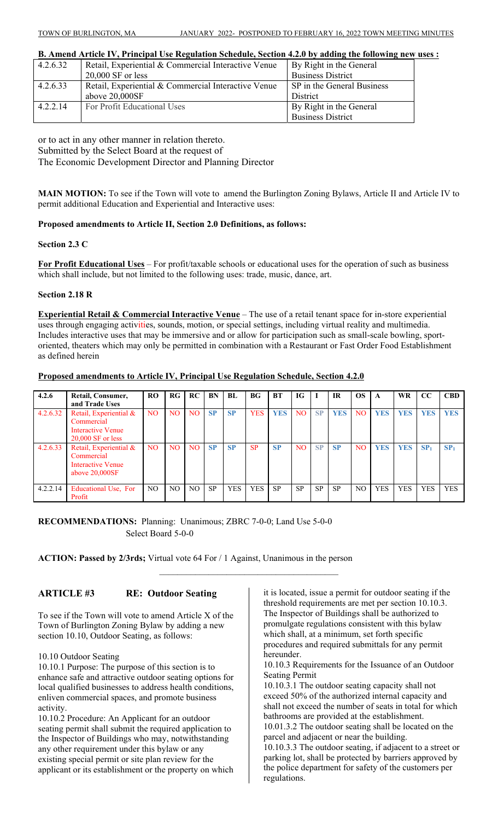**B. Amend Article IV, Principal Use Regulation Schedule, Section 4.2.0 by adding the following new uses :** 

| 4.2.6.32 | Retail, Experiential & Commercial Interactive Venue | By Right in the General    |
|----------|-----------------------------------------------------|----------------------------|
|          | $20,000$ SF or less                                 | <b>Business District</b>   |
| 4.2.6.33 | Retail, Experiential & Commercial Interactive Venue | SP in the General Business |
|          | above 20,000SF                                      | <b>District</b>            |
| 4.2.2.14 | For Profit Educational Uses                         | By Right in the General    |
|          |                                                     | <b>Business District</b>   |

or to act in any other manner in relation thereto. Submitted by the Select Board at the request of The Economic Development Director and Planning Director

**MAIN MOTION:** To see if the Town will vote to amend the Burlington Zoning Bylaws, Article II and Article IV to permit additional Education and Experiential and Interactive uses:

#### **Proposed amendments to Article II, Section 2.0 Definitions, as follows:**

#### **Section 2.3 C**

**For Profit Educational Uses** – For profit/taxable schools or educational uses for the operation of such as business which shall include, but not limited to the following uses: trade, music, dance, art.

#### **Section 2.18 R**

**Experiential Retail & Commercial Interactive Venue** – The use of a retail tenant space for in-store experiential uses through engaging activities, sounds, motion, or special settings, including virtual reality and multimedia. Includes interactive uses that may be immersive and or allow for participation such as small-scale bowling, sportoriented, theaters which may only be permitted in combination with a Restaurant or Fast Order Food Establishment as defined herein

#### **Proposed amendments to Article IV, Principal Use Regulation Schedule, Section 4.2.0**

| 4.2.6    | Retail, Consumer,<br>and Trade Uses                                                  | <b>RO</b>      | RG             | RC  | BN        | BL         | BG <sub>r</sub> | <b>BT</b>  | IG             |           | <b>IR</b>  | <b>OS</b>      | A          | <b>WR</b>  | CC              | <b>CBD</b>      |
|----------|--------------------------------------------------------------------------------------|----------------|----------------|-----|-----------|------------|-----------------|------------|----------------|-----------|------------|----------------|------------|------------|-----------------|-----------------|
| 4.2.6.32 | Retail, Experiential &<br>Commercial<br>Interactive Venue<br>$20,000$ SF or less     | N <sub>O</sub> | N <sub>O</sub> | NO. | <b>SP</b> | <b>SP</b>  | <b>YES</b>      | <b>YES</b> | N <sub>O</sub> | <b>SP</b> | <b>YES</b> | N <sub>O</sub> | <b>YES</b> | <b>YES</b> | <b>YES</b>      | <b>YES</b>      |
| 4.2.6.33 | Retail, Experiential &<br>Commercial<br><b>Interactive Venue</b><br>above $20,000SF$ | N <sub>O</sub> | NO.            | NO. | SP        | <b>SP</b>  | <b>SP</b>       | <b>SP</b>  | N <sub>O</sub> | SP        | <b>SP</b>  | N <sub>O</sub> | <b>YES</b> | <b>YES</b> | SP <sub>1</sub> | SP <sub>1</sub> |
| 4.2.2.14 | Educational Use, For<br>Profit                                                       | NO.            | NO.            | NO. | SP        | <b>YES</b> | <b>YES</b>      | <b>SP</b>  | <b>SP</b>      | SP        | <b>SP</b>  | NO             | <b>YES</b> | <b>YES</b> | <b>YES</b>      | <b>YES</b>      |

 $\mathcal{L}_\text{max}$ 

**RECOMMENDATIONS:** Planning: Unanimous; ZBRC 7-0-0; Land Use 5-0-0 Select Board 5-0-0

**ACTION: Passed by 2/3rds;** Virtual vote 64 For / 1 Against, Unanimous in the person

# **ARTICLE #3 RE: Outdoor Seating**

To see if the Town will vote to amend Article X of the Town of Burlington Zoning Bylaw by adding a new section 10.10, Outdoor Seating, as follows:

10.10 Outdoor Seating

10.10.1 Purpose: The purpose of this section is to enhance safe and attractive outdoor seating options for local qualified businesses to address health conditions, enliven commercial spaces, and promote business activity.

10.10.2 Procedure: An Applicant for an outdoor seating permit shall submit the required application to the Inspector of Buildings who may, notwithstanding any other requirement under this bylaw or any existing special permit or site plan review for the applicant or its establishment or the property on which

it is located, issue a permit for outdoor seating if the threshold requirements are met per section 10.10.3. The Inspector of Buildings shall be authorized to promulgate regulations consistent with this bylaw which shall, at a minimum, set forth specific procedures and required submittals for any permit hereunder.

10.10.3 Requirements for the Issuance of an Outdoor Seating Permit

10.10.3.1 The outdoor seating capacity shall not exceed 50% of the authorized internal capacity and shall not exceed the number of seats in total for which bathrooms are provided at the establishment. 10.01.3.2 The outdoor seating shall be located on the

parcel and adjacent or near the building. 10.10.3.3 The outdoor seating, if adjacent to a street or

parking lot, shall be protected by barriers approved by the police department for safety of the customers per regulations.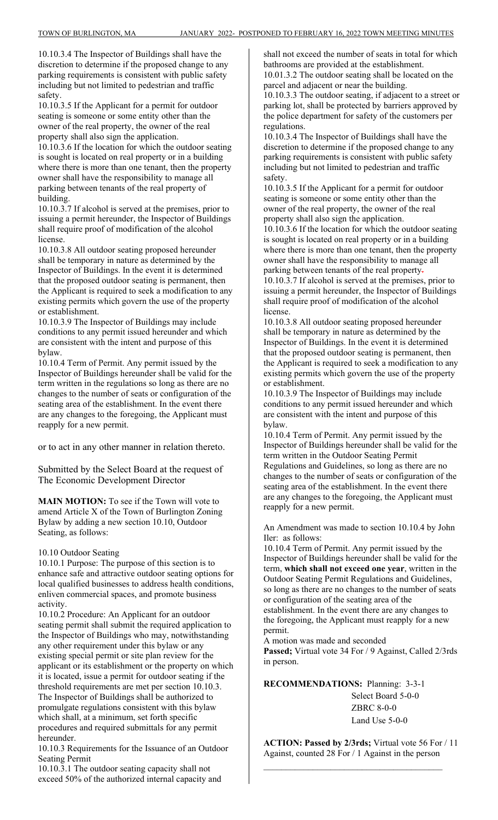10.10.3.4 The Inspector of Buildings shall have the discretion to determine if the proposed change to any parking requirements is consistent with public safety including but not limited to pedestrian and traffic safety.

10.10.3.5 If the Applicant for a permit for outdoor seating is someone or some entity other than the owner of the real property, the owner of the real property shall also sign the application.

10.10.3.6 If the location for which the outdoor seating is sought is located on real property or in a building where there is more than one tenant, then the property owner shall have the responsibility to manage all parking between tenants of the real property of building.

10.10.3.7 If alcohol is served at the premises, prior to issuing a permit hereunder, the Inspector of Buildings shall require proof of modification of the alcohol license.

10.10.3.8 All outdoor seating proposed hereunder shall be temporary in nature as determined by the Inspector of Buildings. In the event it is determined that the proposed outdoor seating is permanent, then the Applicant is required to seek a modification to any existing permits which govern the use of the property or establishment.

10.10.3.9 The Inspector of Buildings may include conditions to any permit issued hereunder and which are consistent with the intent and purpose of this bylaw.

10.10.4 Term of Permit. Any permit issued by the Inspector of Buildings hereunder shall be valid for the term written in the regulations so long as there are no changes to the number of seats or configuration of the seating area of the establishment. In the event there are any changes to the foregoing, the Applicant must reapply for a new permit.

or to act in any other manner in relation thereto.

Submitted by the Select Board at the request of The Economic Development Director

**MAIN MOTION:** To see if the Town will vote to amend Article X of the Town of Burlington Zoning Bylaw by adding a new section 10.10, Outdoor Seating, as follows:

#### 10.10 Outdoor Seating

10.10.1 Purpose: The purpose of this section is to enhance safe and attractive outdoor seating options for local qualified businesses to address health conditions, enliven commercial spaces, and promote business activity.

10.10.2 Procedure: An Applicant for an outdoor seating permit shall submit the required application to the Inspector of Buildings who may, notwithstanding any other requirement under this bylaw or any existing special permit or site plan review for the applicant or its establishment or the property on which it is located, issue a permit for outdoor seating if the threshold requirements are met per section 10.10.3. The Inspector of Buildings shall be authorized to promulgate regulations consistent with this bylaw which shall, at a minimum, set forth specific procedures and required submittals for any permit hereunder.

10.10.3 Requirements for the Issuance of an Outdoor Seating Permit

10.10.3.1 The outdoor seating capacity shall not exceed 50% of the authorized internal capacity and

shall not exceed the number of seats in total for which bathrooms are provided at the establishment. 10.01.3.2 The outdoor seating shall be located on the parcel and adjacent or near the building.

10.10.3.3 The outdoor seating, if adjacent to a street or parking lot, shall be protected by barriers approved by the police department for safety of the customers per regulations.

10.10.3.4 The Inspector of Buildings shall have the discretion to determine if the proposed change to any parking requirements is consistent with public safety including but not limited to pedestrian and traffic safety.

10.10.3.5 If the Applicant for a permit for outdoor seating is someone or some entity other than the owner of the real property, the owner of the real property shall also sign the application. 10.10.3.6 If the location for which the outdoor seating

is sought is located on real property or in a building where there is more than one tenant, then the property owner shall have the responsibility to manage all parking between tenants of the real property-10.10.3.7 If alcohol is served at the premises, prior to

issuing a permit hereunder, the Inspector of Buildings shall require proof of modification of the alcohol license.

10.10.3.8 All outdoor seating proposed hereunder shall be temporary in nature as determined by the Inspector of Buildings. In the event it is determined that the proposed outdoor seating is permanent, then the Applicant is required to seek a modification to any existing permits which govern the use of the property or establishment.

10.10.3.9 The Inspector of Buildings may include conditions to any permit issued hereunder and which are consistent with the intent and purpose of this bylaw.

10.10.4 Term of Permit. Any permit issued by the Inspector of Buildings hereunder shall be valid for the term written in the Outdoor Seating Permit Regulations and Guidelines, so long as there are no changes to the number of seats or configuration of the seating area of the establishment. In the event there are any changes to the foregoing, the Applicant must reapply for a new permit.

An Amendment was made to section 10.10.4 by John Iler: as follows:

10.10.4 Term of Permit. Any permit issued by the Inspector of Buildings hereunder shall be valid for the term, **which shall not exceed one year**, written in the Outdoor Seating Permit Regulations and Guidelines, so long as there are no changes to the number of seats or configuration of the seating area of the establishment. In the event there are any changes to the foregoing, the Applicant must reapply for a new permit.

A motion was made and seconded Passed; Virtual vote 34 For / 9 Against, Called 2/3rds in person.

**RECOMMENDATIONS:** Planning: 3-3-1 Select Board 5-0-0 ZBRC 8-0-0 Land Use 5-0-0

**ACTION: Passed by 2/3rds;** Virtual vote 56 For / 11 Against, counted 28 For / 1 Against in the person

 $\mathcal{L}_\text{max}$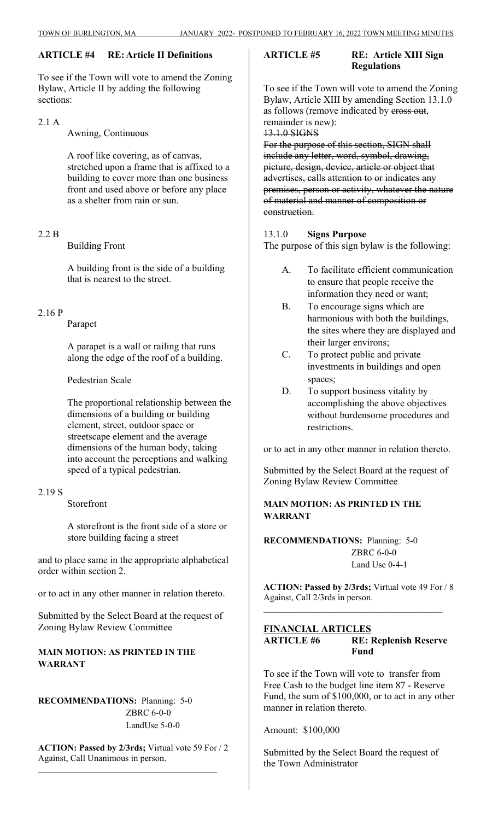# **ARTICLE #4 RE: Article II Definitions**

To see if the Town will vote to amend the Zoning Bylaw, Article II by adding the following sections:

2.1 A

Awning, Continuous

A roof like covering, as of canvas, stretched upon a frame that is affixed to a building to cover more than one business front and used above or before any place as a shelter from rain or sun.

# 2.2 B

Building Front

A building front is the side of a building that is nearest to the street.

#### 2.16 P

#### Parapet

A parapet is a wall or railing that runs along the edge of the roof of a building.

Pedestrian Scale

The proportional relationship between the dimensions of a building or building element, street, outdoor space or streetscape element and the average dimensions of the human body, taking into account the perceptions and walking speed of a typical pedestrian.

#### 2.19 S

Storefront

A storefront is the front side of a store or store building facing a street

and to place same in the appropriate alphabetical order within section 2.

or to act in any other manner in relation thereto.

Submitted by the Select Board at the request of Zoning Bylaw Review Committee

# **MAIN MOTION: AS PRINTED IN THE WARRANT**

**RECOMMENDATIONS:** Planning: 5-0 ZBRC 6-0-0 LandUse 5-0-0

**ACTION: Passed by 2/3rds;** Virtual vote 59 For / 2 Against, Call Unanimous in person.

\_\_\_\_\_\_\_\_\_\_\_\_\_\_\_\_\_\_\_\_\_\_\_\_\_\_\_\_\_\_\_\_\_\_\_\_\_\_\_\_

#### **ARTICLE #5 RE: Article XIII Sign Regulations**

To see if the Town will vote to amend the Zoning Bylaw, Article XIII by amending Section 13.1.0 as follows (remove indicated by eross out, remainder is new):

#### 13.1.0 SIGNS

For the purpose of this section, SIGN shall include any letter, word, symbol, drawing, picture, design, device, article or object that advertises, calls attention to or indicates any premises, person or activity, whatever the nature of material and manner of composition or construction.

13.1.0 **Signs Purpose** The purpose of this sign bylaw is the following:

- A. To facilitate efficient communication to ensure that people receive the information they need or want;
- B. To encourage signs which are harmonious with both the buildings, the sites where they are displayed and their larger environs;
- C. To protect public and private investments in buildings and open spaces;
- D. To support business vitality by accomplishing the above objectives without burdensome procedures and restrictions.

or to act in any other manner in relation thereto.

Submitted by the Select Board at the request of Zoning Bylaw Review Committee

# **MAIN MOTION: AS PRINTED IN THE WARRANT**

**RECOMMENDATIONS:** Planning: 5-0 ZBRC 6-0-0 Land Use 0-4-1

**ACTION: Passed by 2/3rds;** Virtual vote 49 For / 8 Against, Call 2/3rds in person.

# **FINANCIAL ARTICLES ARTICLE #6 RE: Replenish Reserve Fund**

 $\mathcal{L}_\text{max}$ 

To see if the Town will vote to transfer from Free Cash to the budget line item 87 - Reserve Fund, the sum of \$100,000, or to act in any other manner in relation thereto.

Amount: \$100,000

Submitted by the Select Board the request of the Town Administrator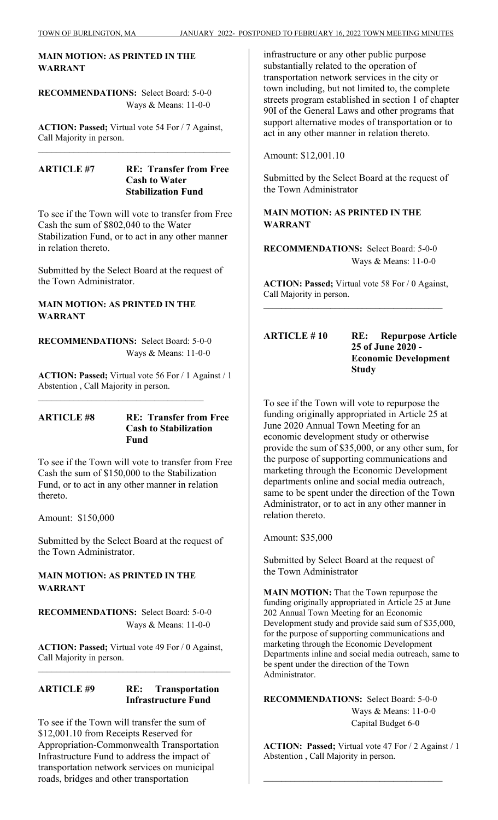# **MAIN MOTION: AS PRINTED IN THE WARRANT**

**RECOMMENDATIONS:** Select Board: 5-0-0 Ways & Means: 11-0-0

**ACTION: Passed;** Virtual vote 54 For / 7 Against, Call Majority in person.

#### **ARTICLE #7 RE: Transfer from Free Cash to Water Stabilization Fund**

To see if the Town will vote to transfer from Free Cash the sum of \$802,040 to the Water Stabilization Fund, or to act in any other manner in relation thereto.

Submitted by the Select Board at the request of the Town Administrator.

# **MAIN MOTION: AS PRINTED IN THE WARRANT**

**RECOMMENDATIONS:** Select Board: 5-0-0 Ways & Means: 11-0-0

\_\_\_\_\_\_\_\_\_\_\_\_\_\_\_\_\_\_\_\_\_\_\_\_\_\_\_\_\_\_\_\_\_\_\_\_\_

**ACTION: Passed;** Virtual vote 56 For / 1 Against / 1 Abstention , Call Majority in person.

#### **ARTICLE #8 RE: Transfer from Free Cash to Stabilization Fund**

To see if the Town will vote to transfer from Free Cash the sum of \$150,000 to the Stabilization Fund, or to act in any other manner in relation thereto.

Amount: \$150,000

Submitted by the Select Board at the request of the Town Administrator.

# **MAIN MOTION: AS PRINTED IN THE WARRANT**

**RECOMMENDATIONS:** Select Board: 5-0-0 Ways & Means: 11-0-0

**ACTION: Passed;** Virtual vote 49 For / 0 Against, Call Majority in person.

 $\mathcal{L}_\text{max}$  and the contract of the contract of the contract of the contract of the contract of the contract of the contract of the contract of the contract of the contract of the contract of the contract of the contrac

# **ARTICLE #9 RE: Transportation Infrastructure Fund**

To see if the Town will transfer the sum of \$12,001.10 from Receipts Reserved for Appropriation-Commonwealth Transportation Infrastructure Fund to address the impact of transportation network services on municipal roads, bridges and other transportation

infrastructure or any other public purpose substantially related to the operation of transportation network services in the city or town including, but not limited to, the complete streets program established in section 1 of chapter 90I of the General Laws and other programs that support alternative modes of transportation or to act in any other manner in relation thereto.

Amount: \$12,001.10

Submitted by the Select Board at the request of the Town Administrator

# **MAIN MOTION: AS PRINTED IN THE WARRANT**

**RECOMMENDATIONS:** Select Board: 5-0-0 Ways & Means: 11-0-0

**ACTION: Passed;** Virtual vote 58 For / 0 Against, Call Majority in person.

**ARTICLE # 10 RE: Repurpose Article 25 of June 2020 - Economic Development Study**

To see if the Town will vote to repurpose the funding originally appropriated in Article 25 at June 2020 Annual Town Meeting for an economic development study or otherwise provide the sum of \$35,000, or any other sum, for the purpose of supporting communications and marketing through the Economic Development departments online and social media outreach, same to be spent under the direction of the Town Administrator, or to act in any other manner in relation thereto.

Amount: \$35,000

Submitted by Select Board at the request of the Town Administrator

**MAIN MOTION:** That the Town repurpose the funding originally appropriated in Article 25 at June 202 Annual Town Meeting for an Economic Development study and provide said sum of \$35,000, for the purpose of supporting communications and marketing through the Economic Development Departments inline and social media outreach, same to be spent under the direction of the Town Administrator.

**RECOMMENDATIONS:** Select Board: 5-0-0 Ways & Means: 11-0-0 Capital Budget 6-0

**ACTION: Passed;** Virtual vote 47 For / 2 Against / 1 Abstention , Call Majority in person.

 $\mathcal{L}_\text{max}$  , where  $\mathcal{L}_\text{max}$  and  $\mathcal{L}_\text{max}$  and  $\mathcal{L}_\text{max}$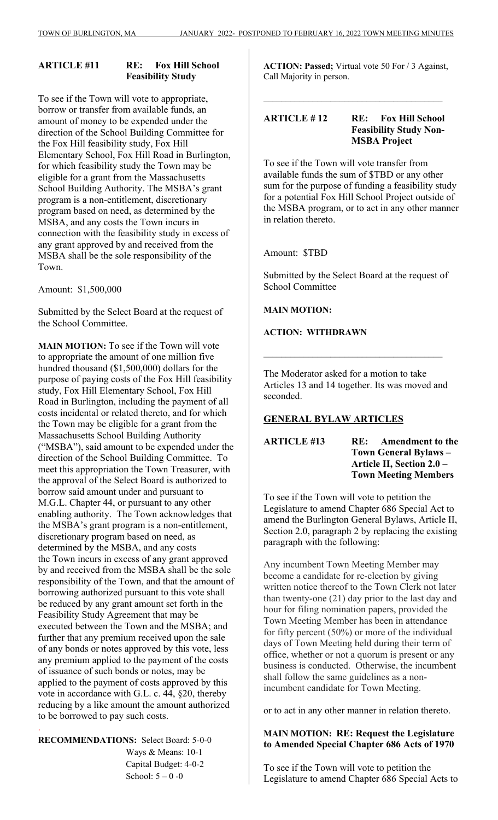# **ARTICLE #11 RE: Fox Hill School Feasibility Study**

To see if the Town will vote to appropriate, borrow or transfer from available funds, an amount of money to be expended under the direction of the School Building Committee for the Fox Hill feasibility study, Fox Hill Elementary School, Fox Hill Road in Burlington, for which feasibility study the Town may be eligible for a grant from the Massachusetts School Building Authority. The MSBA's grant program is a non-entitlement, discretionary program based on need, as determined by the MSBA, and any costs the Town incurs in connection with the feasibility study in excess of any grant approved by and received from the MSBA shall be the sole responsibility of the Town.

Amount: \$1,500,000

Submitted by the Select Board at the request of the School Committee.

**MAIN MOTION:** To see if the Town will vote to appropriate the amount of one million five hundred thousand (\$1,500,000) dollars for the purpose of paying costs of the Fox Hill feasibility study, Fox Hill Elementary School, Fox Hill Road in Burlington, including the payment of all costs incidental or related thereto, and for which the Town may be eligible for a grant from the Massachusetts School Building Authority ("MSBA"), said amount to be expended under the direction of the School Building Committee. To meet this appropriation the Town Treasurer, with the approval of the Select Board is authorized to borrow said amount under and pursuant to M.G.L. Chapter 44, or pursuant to any other enabling authority. The Town acknowledges that the MSBA's grant program is a non-entitlement, discretionary program based on need, as determined by the MSBA, and any costs the Town incurs in excess of any grant approved by and received from the MSBA shall be the sole responsibility of the Town, and that the amount of borrowing authorized pursuant to this vote shall be reduced by any grant amount set forth in the Feasibility Study Agreement that may be executed between the Town and the MSBA; and further that any premium received upon the sale of any bonds or notes approved by this vote, less any premium applied to the payment of the costs of issuance of such bonds or notes, may be applied to the payment of costs approved by this vote in accordance with G.L. c. 44, §20, thereby reducing by a like amount the amount authorized to be borrowed to pay such costs.

**RECOMMENDATIONS:** Select Board: 5-0-0 Ways & Means: 10-1 Capital Budget: 4-0-2 School:  $5 - 0 -0$ 

.

**ACTION: Passed;** Virtual vote 50 For / 3 Against, Call Majority in person.

# **ARTICLE # 12 RE: Fox Hill School Feasibility Study Non-MSBA Project**

 $\mathcal{L}_\text{max}$ 

To see if the Town will vote transfer from available funds the sum of \$TBD or any other sum for the purpose of funding a feasibility study for a potential Fox Hill School Project outside of the MSBA program, or to act in any other manner in relation thereto.

Amount: \$TBD

Submitted by the Select Board at the request of School Committee

**MAIN MOTION:** 

**ACTION: WITHDRAWN** 

The Moderator asked for a motion to take Articles 13 and 14 together. Its was moved and seconded.

 $\mathcal{L}_\text{max}$ 

# **GENERAL BYLAW ARTICLES**

**ARTICLE #13 RE: Amendment to the Town General Bylaws – Article II, Section 2.0 – Town Meeting Members** 

To see if the Town will vote to petition the Legislature to amend Chapter 686 Special Act to amend the Burlington General Bylaws, Article II, Section 2.0, paragraph 2 by replacing the existing paragraph with the following:

Any incumbent Town Meeting Member may become a candidate for re-election by giving written notice thereof to the Town Clerk not later than twenty-one (21) day prior to the last day and hour for filing nomination papers, provided the Town Meeting Member has been in attendance for fifty percent (50%) or more of the individual days of Town Meeting held during their term of office, whether or not a quorum is present or any business is conducted. Otherwise, the incumbent shall follow the same guidelines as a nonincumbent candidate for Town Meeting.

or to act in any other manner in relation thereto.

# **MAIN MOTION: RE: Request the Legislature to Amended Special Chapter 686 Acts of 1970**

To see if the Town will vote to petition the Legislature to amend Chapter 686 Special Acts to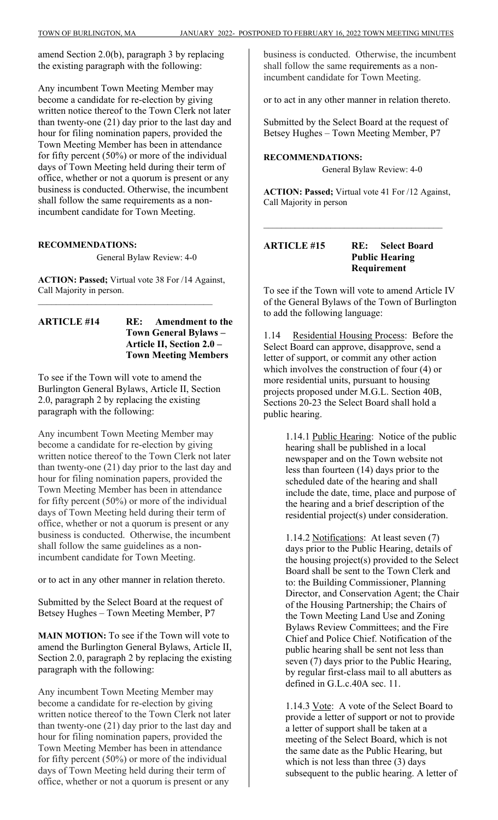amend Section 2.0(b), paragraph 3 by replacing the existing paragraph with the following:

Any incumbent Town Meeting Member may become a candidate for re-election by giving written notice thereof to the Town Clerk not later than twenty-one (21) day prior to the last day and hour for filing nomination papers, provided the Town Meeting Member has been in attendance for fifty percent (50%) or more of the individual days of Town Meeting held during their term of office, whether or not a quorum is present or any business is conducted. Otherwise, the incumbent shall follow the same requirements as a nonincumbent candidate for Town Meeting.

#### **RECOMMENDATIONS:**

General Bylaw Review: 4-0

**ACTION: Passed;** Virtual vote 38 For /14 Against, Call Majority in person.

\_\_\_\_\_\_\_\_\_\_\_\_\_\_\_\_\_\_\_\_\_\_\_\_\_\_\_\_\_\_\_\_\_\_\_\_\_\_\_

### **ARTICLE #14 RE: Amendment to the Town General Bylaws – Article II, Section 2.0 – Town Meeting Members**

To see if the Town will vote to amend the Burlington General Bylaws, Article II, Section 2.0, paragraph 2 by replacing the existing paragraph with the following:

Any incumbent Town Meeting Member may become a candidate for re-election by giving written notice thereof to the Town Clerk not later than twenty-one (21) day prior to the last day and hour for filing nomination papers, provided the Town Meeting Member has been in attendance for fifty percent (50%) or more of the individual days of Town Meeting held during their term of office, whether or not a quorum is present or any business is conducted. Otherwise, the incumbent shall follow the same guidelines as a nonincumbent candidate for Town Meeting.

or to act in any other manner in relation thereto.

Submitted by the Select Board at the request of Betsey Hughes – Town Meeting Member, P7

**MAIN MOTION:** To see if the Town will vote to amend the Burlington General Bylaws, Article II, Section 2.0, paragraph 2 by replacing the existing paragraph with the following:

Any incumbent Town Meeting Member may become a candidate for re-election by giving written notice thereof to the Town Clerk not later than twenty-one (21) day prior to the last day and hour for filing nomination papers, provided the Town Meeting Member has been in attendance for fifty percent (50%) or more of the individual days of Town Meeting held during their term of office, whether or not a quorum is present or any

business is conducted. Otherwise, the incumbent shall follow the same requirements as a nonincumbent candidate for Town Meeting.

or to act in any other manner in relation thereto.

Submitted by the Select Board at the request of Betsey Hughes – Town Meeting Member, P7

**RECOMMENDATIONS:** General Bylaw Review: 4-0

**ACTION: Passed;** Virtual vote 41 For /12 Against, Call Majority in person

# **ARTICLE #15 RE: Select Board Public Hearing Requirement**

To see if the Town will vote to amend Article IV of the General Bylaws of the Town of Burlington to add the following language:

1.14 Residential Housing Process: Before the Select Board can approve, disapprove, send a letter of support, or commit any other action which involves the construction of four (4) or more residential units, pursuant to housing projects proposed under M.G.L. Section 40B, Sections 20-23 the Select Board shall hold a public hearing.

> 1.14.1 Public Hearing: Notice of the public hearing shall be published in a local newspaper and on the Town website not less than fourteen (14) days prior to the scheduled date of the hearing and shall include the date, time, place and purpose of the hearing and a brief description of the residential project(s) under consideration.

1.14.2 Notifications: At least seven (7) days prior to the Public Hearing, details of the housing project(s) provided to the Select Board shall be sent to the Town Clerk and to: the Building Commissioner, Planning Director, and Conservation Agent; the Chair of the Housing Partnership; the Chairs of the Town Meeting Land Use and Zoning Bylaws Review Committees; and the Fire Chief and Police Chief. Notification of the public hearing shall be sent not less than seven (7) days prior to the Public Hearing, by regular first-class mail to all abutters as defined in G.L.c.40A sec. 11.

1.14.3 Vote: A vote of the Select Board to provide a letter of support or not to provide a letter of support shall be taken at a meeting of the Select Board, which is not the same date as the Public Hearing, but which is not less than three (3) days subsequent to the public hearing. A letter of